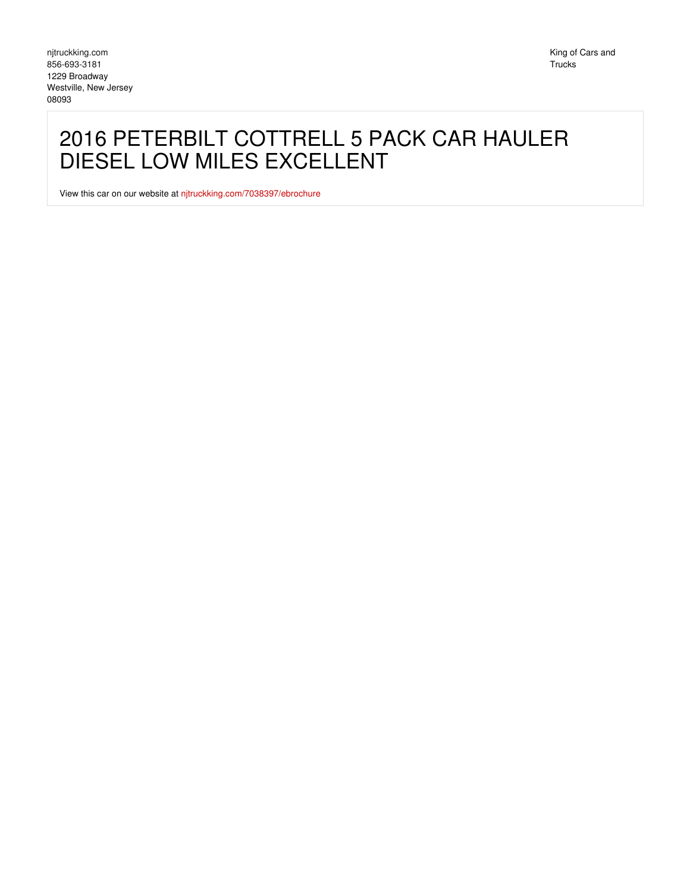## 2016 PETERBILT COTTRELL 5 PACK CAR HAULER DIESEL LOW MILES EXCELLENT

View this car on our website at [njtruckking.com/7038397/ebrochure](https://njtruckking.com/vehicle/7038397/2016-peterbilt-cottrell-5-pack-car-hauler-diesel-low-miles-excellent-westville-new-jersey-08093/7038397/ebrochure)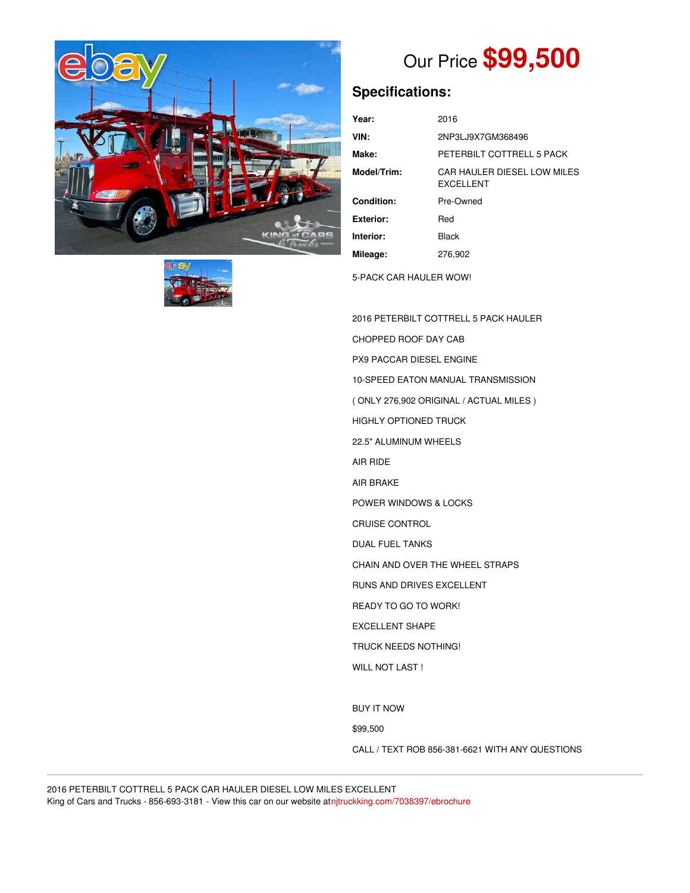



## Our Price **\$99,500**

## **Specifications:**

| Year:       | 2016                                            |
|-------------|-------------------------------------------------|
| VIN:        | 2NP3LJ9X7GM368496                               |
| Make:       | PETERBILT COTTRELL 5 PACK                       |
| Model/Trim: | CAR HAULER DIESEL LOW MILES<br><b>EXCELLENT</b> |
| Condition:  | Pre-Owned                                       |
| Exterior:   | Red                                             |
| Interior:   | <b>Black</b>                                    |
| Mileage:    | 276.902                                         |
|             |                                                 |

5-PACK CAR HAULER WOW!

2016 PETERBILT COTTRELL 5 PACK HAULER CHOPPED ROOF DAY CAB PX9 PACCAR DIESEL ENGINE 10-SPEED EATON MANUAL TRANSMISSION ( ONLY 276,902 ORIGINAL / ACTUAL MILES ) HIGHLY OPTIONED TRUCK 22.5" ALUMINUM WHEELS AIR RIDE AIR BRAKE POWER WINDOWS & LOCKS CRUISE CONTROL DUAL FUEL TANKS CHAIN AND OVER THE WHEEL STRAPS RUNS AND DRIVES EXCELLENT READY TO GO TO WORK! EXCELLENT SHAPE TRUCK NEEDS NOTHING! WILL NOT LAST ! BUY IT NOW

\$99,500

CALL / TEXT ROB 856-381-6621 WITH ANY QUESTIONS